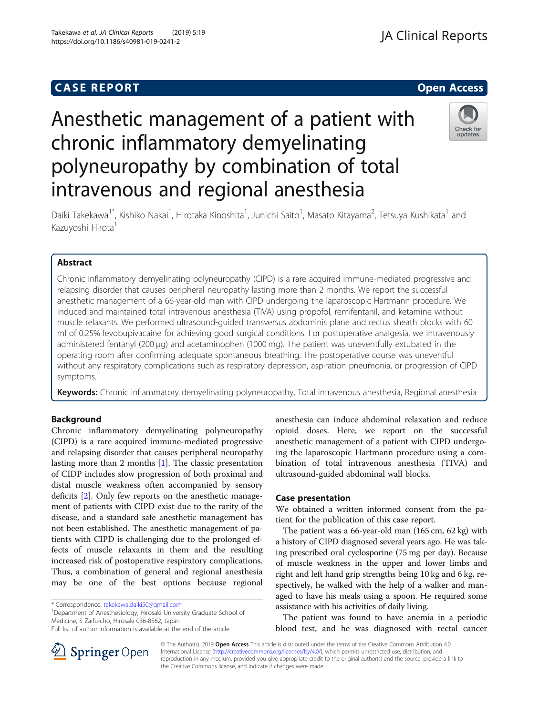# **CASE REPORT And SERVICE SERVICE SERVICE SERVICE SERVICE SERVICE SERVICE SERVICE SERVICE SERVICE SERVICE SERVICE**

# Anesthetic management of a patient with chronic inflammatory demyelinating polyneuropathy by combination of total intravenous and regional anesthesia



Daiki Takekawa<sup>1\*</sup>, Kishiko Nakai<sup>1</sup>, Hirotaka Kinoshita<sup>1</sup>, Junichi Saito<sup>1</sup>, Masato Kitayama<sup>2</sup>, Tetsuya Kushikata<sup>1</sup> and Kazuyoshi Hirota<sup>1</sup>

# Abstract

Chronic inflammatory demyelinating polyneuropathy (CIPD) is a rare acquired immune-mediated progressive and relapsing disorder that causes peripheral neuropathy lasting more than 2 months. We report the successful anesthetic management of a 66-year-old man with CIPD undergoing the laparoscopic Hartmann procedure. We induced and maintained total intravenous anesthesia (TIVA) using propofol, remifentanil, and ketamine without muscle relaxants. We performed ultrasound-guided transversus abdominis plane and rectus sheath blocks with 60 ml of 0.25% levobupivacaine for achieving good surgical conditions. For postoperative analgesia, we intravenously administered fentanyl (200 μg) and acetaminophen (1000 mg). The patient was uneventfully extubated in the operating room after confirming adequate spontaneous breathing. The postoperative course was uneventful without any respiratory complications such as respiratory depression, aspiration pneumonia, or progression of CIPD symptoms.

Keywords: Chronic inflammatory demyelinating polyneuropathy, Total intravenous anesthesia, Regional anesthesia

# Background

Chronic inflammatory demyelinating polyneuropathy (CIPD) is a rare acquired immune-mediated progressive and relapsing disorder that causes peripheral neuropathy lasting more than 2 months [[1\]](#page-2-0). The classic presentation of CIDP includes slow progression of both proximal and distal muscle weakness often accompanied by sensory deficits [\[2](#page-2-0)]. Only few reports on the anesthetic management of patients with CIPD exist due to the rarity of the disease, and a standard safe anesthetic management has not been established. The anesthetic management of patients with CIPD is challenging due to the prolonged effects of muscle relaxants in them and the resulting increased risk of postoperative respiratory complications. Thus, a combination of general and regional anesthesia may be one of the best options because regional

<sup>1</sup>Department of Anesthesiology, Hirosaki University Graduate School of Medicine, 5 Zaifu-cho, Hirosaki 036-8562, Japan

anesthesia can induce abdominal relaxation and reduce opioid doses. Here, we report on the successful anesthetic management of a patient with CIPD undergoing the laparoscopic Hartmann procedure using a combination of total intravenous anesthesia (TIVA) and ultrasound-guided abdominal wall blocks.

# Case presentation

We obtained a written informed consent from the patient for the publication of this case report.

The patient was a 66-year-old man (165 cm, 62 kg) with a history of CIPD diagnosed several years ago. He was taking prescribed oral cyclosporine (75 mg per day). Because of muscle weakness in the upper and lower limbs and right and left hand grip strengths being 10 kg and 6 kg, respectively, he walked with the help of a walker and managed to have his meals using a spoon. He required some assistance with his activities of daily living.

The patient was found to have anemia in a periodic blood test, and he was diagnosed with rectal cancer



© The Author(s). 2019 Open Access This article is distributed under the terms of the Creative Commons Attribution 4.0 International License ([http://creativecommons.org/licenses/by/4.0/\)](http://creativecommons.org/licenses/by/4.0/), which permits unrestricted use, distribution, and reproduction in any medium, provided you give appropriate credit to the original author(s) and the source, provide a link to the Creative Commons license, and indicate if changes were made.

<sup>\*</sup> Correspondence: [takekawa.daiki50@gmail.com](mailto:takekawa.daiki50@gmail.com) <sup>1</sup>

Full list of author information is available at the end of the article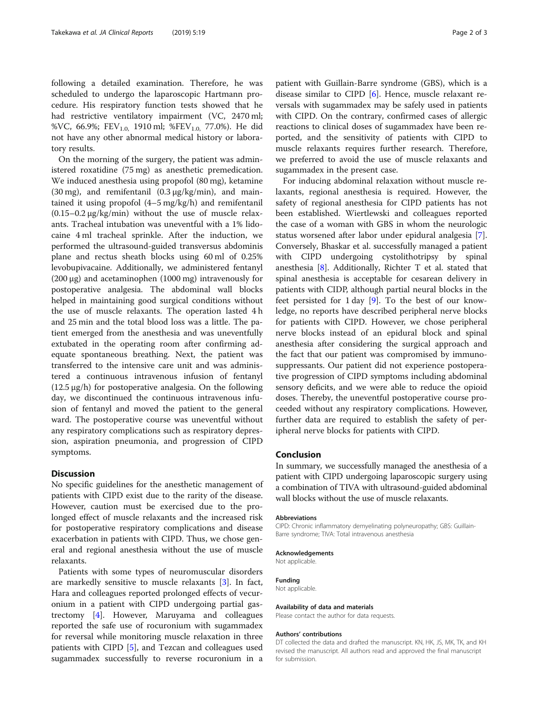following a detailed examination. Therefore, he was scheduled to undergo the laparoscopic Hartmann procedure. His respiratory function tests showed that he had restrictive ventilatory impairment (VC, 2470 ml; %VC, 66.9%; FEV<sub>1.0,</sub> 1910 ml; %FEV<sub>1.0,</sub> 77.0%). He did not have any other abnormal medical history or laboratory results.

On the morning of the surgery, the patient was administered roxatidine (75 mg) as anesthetic premedication. We induced anesthesia using propofol (80 mg), ketamine (30 mg), and remifentanil (0.3 μg/kg/min), and maintained it using propofol (4–5 mg/kg/h) and remifentanil  $(0.15-0.2 \mu g/kg/min)$  without the use of muscle relaxants. Tracheal intubation was uneventful with a 1% lidocaine 4 ml tracheal sprinkle. After the induction, we performed the ultrasound-guided transversus abdominis plane and rectus sheath blocks using 60 ml of 0.25% levobupivacaine. Additionally, we administered fentanyl (200 μg) and acetaminophen (1000 mg) intravenously for postoperative analgesia. The abdominal wall blocks helped in maintaining good surgical conditions without the use of muscle relaxants. The operation lasted 4 h and 25 min and the total blood loss was a little. The patient emerged from the anesthesia and was uneventfully extubated in the operating room after confirming adequate spontaneous breathing. Next, the patient was transferred to the intensive care unit and was administered a continuous intravenous infusion of fentanyl (12.5 μg/h) for postoperative analgesia. On the following day, we discontinued the continuous intravenous infusion of fentanyl and moved the patient to the general ward. The postoperative course was uneventful without any respiratory complications such as respiratory depression, aspiration pneumonia, and progression of CIPD symptoms.

#### **Discussion**

No specific guidelines for the anesthetic management of patients with CIPD exist due to the rarity of the disease. However, caution must be exercised due to the prolonged effect of muscle relaxants and the increased risk for postoperative respiratory complications and disease exacerbation in patients with CIPD. Thus, we chose general and regional anesthesia without the use of muscle relaxants.

Patients with some types of neuromuscular disorders are markedly sensitive to muscle relaxants [\[3](#page-2-0)]. In fact, Hara and colleagues reported prolonged effects of vecuronium in a patient with CIPD undergoing partial gastrectomy [[4](#page-2-0)]. However, Maruyama and colleagues reported the safe use of rocuronium with sugammadex for reversal while monitoring muscle relaxation in three patients with CIPD [\[5\]](#page-2-0), and Tezcan and colleagues used sugammadex successfully to reverse rocuronium in a patient with Guillain-Barre syndrome (GBS), which is a disease similar to CIPD [[6\]](#page-2-0). Hence, muscle relaxant reversals with sugammadex may be safely used in patients with CIPD. On the contrary, confirmed cases of allergic reactions to clinical doses of sugammadex have been reported, and the sensitivity of patients with CIPD to muscle relaxants requires further research. Therefore, we preferred to avoid the use of muscle relaxants and sugammadex in the present case.

For inducing abdominal relaxation without muscle relaxants, regional anesthesia is required. However, the safety of regional anesthesia for CIPD patients has not been established. Wiertlewski and colleagues reported the case of a woman with GBS in whom the neurologic status worsened after labor under epidural analgesia [\[7](#page-2-0)]. Conversely, Bhaskar et al. successfully managed a patient with CIPD undergoing cystolithotripsy by spinal anesthesia [[8\]](#page-2-0). Additionally, Richter T et al. stated that spinal anesthesia is acceptable for cesarean delivery in patients with CIDP, although partial neural blocks in the feet persisted for 1 day [[9\]](#page-2-0). To the best of our knowledge, no reports have described peripheral nerve blocks for patients with CIPD. However, we chose peripheral nerve blocks instead of an epidural block and spinal anesthesia after considering the surgical approach and the fact that our patient was compromised by immunosuppressants. Our patient did not experience postoperative progression of CIPD symptoms including abdominal sensory deficits, and we were able to reduce the opioid doses. Thereby, the uneventful postoperative course proceeded without any respiratory complications. However, further data are required to establish the safety of peripheral nerve blocks for patients with CIPD.

#### Conclusion

In summary, we successfully managed the anesthesia of a patient with CIPD undergoing laparoscopic surgery using a combination of TIVA with ultrasound-guided abdominal wall blocks without the use of muscle relaxants.

#### Abbreviations

CIPD: Chronic inflammatory demyelinating polyneuropathy; GBS: Guillain-Barre syndrome; TIVA: Total intravenous anesthesia

#### Acknowledgements

Not applicable. Funding

Not applicable.

#### Availability of data and materials

Please contact the author for data requests.

#### Authors' contributions

DT collected the data and drafted the manuscript. KN, HK, JS, MK, TK, and KH revised the manuscript. All authors read and approved the final manuscript for submission.